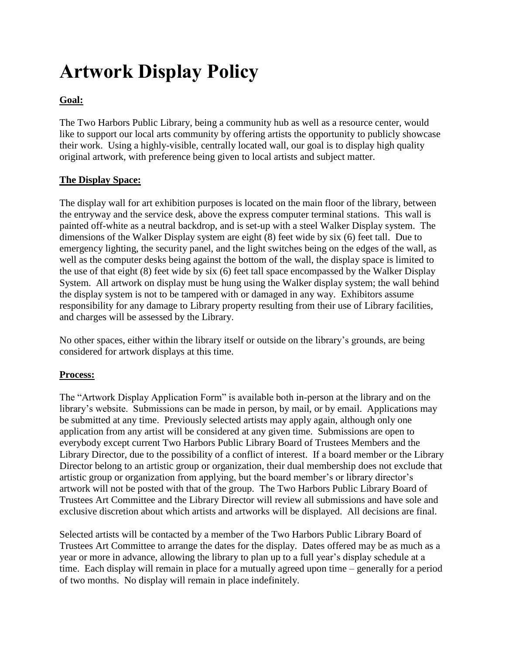# **Artwork Display Policy**

## **Goal:**

The Two Harbors Public Library, being a community hub as well as a resource center, would like to support our local arts community by offering artists the opportunity to publicly showcase their work. Using a highly-visible, centrally located wall, our goal is to display high quality original artwork, with preference being given to local artists and subject matter.

#### **The Display Space:**

The display wall for art exhibition purposes is located on the main floor of the library, between the entryway and the service desk, above the express computer terminal stations. This wall is painted off-white as a neutral backdrop, and is set-up with a steel Walker Display system. The dimensions of the Walker Display system are eight (8) feet wide by six (6) feet tall. Due to emergency lighting, the security panel, and the light switches being on the edges of the wall, as well as the computer desks being against the bottom of the wall, the display space is limited to the use of that eight (8) feet wide by six (6) feet tall space encompassed by the Walker Display System. All artwork on display must be hung using the Walker display system; the wall behind the display system is not to be tampered with or damaged in any way. Exhibitors assume responsibility for any damage to Library property resulting from their use of Library facilities, and charges will be assessed by the Library.

No other spaces, either within the library itself or outside on the library's grounds, are being considered for artwork displays at this time.

#### **Process:**

The "Artwork Display Application Form" is available both in-person at the library and on the library's website. Submissions can be made in person, by mail, or by email. Applications may be submitted at any time. Previously selected artists may apply again, although only one application from any artist will be considered at any given time. Submissions are open to everybody except current Two Harbors Public Library Board of Trustees Members and the Library Director, due to the possibility of a conflict of interest. If a board member or the Library Director belong to an artistic group or organization, their dual membership does not exclude that artistic group or organization from applying, but the board member's or library director's artwork will not be posted with that of the group. The Two Harbors Public Library Board of Trustees Art Committee and the Library Director will review all submissions and have sole and exclusive discretion about which artists and artworks will be displayed. All decisions are final.

Selected artists will be contacted by a member of the Two Harbors Public Library Board of Trustees Art Committee to arrange the dates for the display. Dates offered may be as much as a year or more in advance, allowing the library to plan up to a full year's display schedule at a time. Each display will remain in place for a mutually agreed upon time – generally for a period of two months. No display will remain in place indefinitely.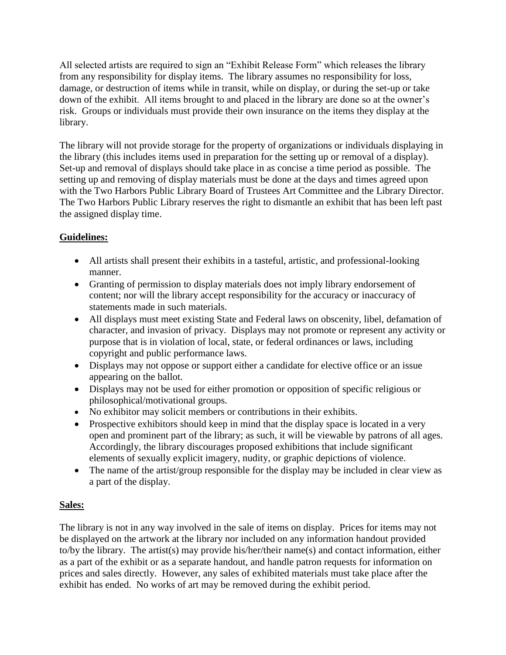All selected artists are required to sign an "Exhibit Release Form" which releases the library from any responsibility for display items. The library assumes no responsibility for loss, damage, or destruction of items while in transit, while on display, or during the set-up or take down of the exhibit. All items brought to and placed in the library are done so at the owner's risk. Groups or individuals must provide their own insurance on the items they display at the library.

The library will not provide storage for the property of organizations or individuals displaying in the library (this includes items used in preparation for the setting up or removal of a display). Set-up and removal of displays should take place in as concise a time period as possible. The setting up and removing of display materials must be done at the days and times agreed upon with the Two Harbors Public Library Board of Trustees Art Committee and the Library Director. The Two Harbors Public Library reserves the right to dismantle an exhibit that has been left past the assigned display time.

## **Guidelines:**

- All artists shall present their exhibits in a tasteful, artistic, and professional-looking manner.
- Granting of permission to display materials does not imply library endorsement of content; nor will the library accept responsibility for the accuracy or inaccuracy of statements made in such materials.
- All displays must meet existing State and Federal laws on obscenity, libel, defamation of character, and invasion of privacy. Displays may not promote or represent any activity or purpose that is in violation of local, state, or federal ordinances or laws, including copyright and public performance laws.
- Displays may not oppose or support either a candidate for elective office or an issue appearing on the ballot.
- Displays may not be used for either promotion or opposition of specific religious or philosophical/motivational groups.
- No exhibitor may solicit members or contributions in their exhibits.
- Prospective exhibitors should keep in mind that the display space is located in a very open and prominent part of the library; as such, it will be viewable by patrons of all ages. Accordingly, the library discourages proposed exhibitions that include significant elements of sexually explicit imagery, nudity, or graphic depictions of violence.
- The name of the artist/group responsible for the display may be included in clear view as a part of the display.

### **Sales:**

The library is not in any way involved in the sale of items on display. Prices for items may not be displayed on the artwork at the library nor included on any information handout provided to/by the library. The artist(s) may provide his/her/their name(s) and contact information, either as a part of the exhibit or as a separate handout, and handle patron requests for information on prices and sales directly. However, any sales of exhibited materials must take place after the exhibit has ended. No works of art may be removed during the exhibit period.